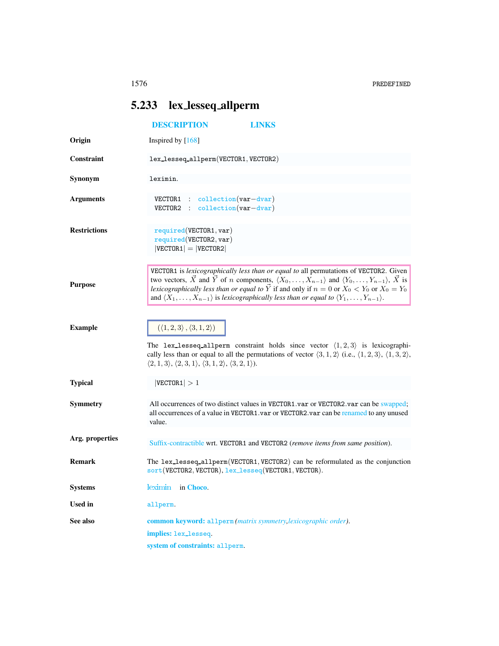## <span id="page-0-0"></span>5.233 lex lesseq allperm

<span id="page-0-1"></span>

|                     | <b>DESCRIPTION</b><br><b>LINKS</b>                                                                                                                                                                                                                                                                                                                                                                                                                                                           |
|---------------------|----------------------------------------------------------------------------------------------------------------------------------------------------------------------------------------------------------------------------------------------------------------------------------------------------------------------------------------------------------------------------------------------------------------------------------------------------------------------------------------------|
| Origin              | Inspired by $[168]$                                                                                                                                                                                                                                                                                                                                                                                                                                                                          |
| Constraint          | lex_lesseq_allperm(VECTOR1, VECTOR2)                                                                                                                                                                                                                                                                                                                                                                                                                                                         |
| Synonym             | leximin.                                                                                                                                                                                                                                                                                                                                                                                                                                                                                     |
| <b>Arguments</b>    | VECTOR1 : collection(var-dvar)<br>VECTOR2:<br>$\text{collection}(var-dvar)$                                                                                                                                                                                                                                                                                                                                                                                                                  |
| <b>Restrictions</b> | required(VECTOR1, var)<br>required(VECTOR2, var)<br>$ VECTOR1  =  VECTOR2 $                                                                                                                                                                                                                                                                                                                                                                                                                  |
| <b>Purpose</b>      | VECTOR1 is lexicographically less than or equal to all permutations of VECTOR2. Given<br>two vectors, $\vec{X}$ and $\vec{Y}$ of <i>n</i> components, $\langle X_0, \ldots, X_{n-1} \rangle$ and $\langle Y_0, \ldots, Y_{n-1} \rangle$ , $\vec{X}$ is<br>lexicographically less than or equal to $\vec{Y}$ if and only if $n = 0$ or $X_0 < Y_0$ or $X_0 = Y_0$<br>and $\langle X_1,\ldots,X_{n-1}\rangle$ is lexicographically less than or equal to $\langle Y_1,\ldots,Y_{n-1}\rangle$ . |
| <b>Example</b>      | $(\langle 1, 2, 3 \rangle, \langle 3, 1, 2 \rangle)$<br>The lex-lesseq-allperm constraint holds since vector $\langle 1, 2, 3 \rangle$ is lexicographi-<br>cally less than or equal to all the permutations of vector $\langle 3, 1, 2 \rangle$ (i.e., $\langle 1, 2, 3 \rangle$ , $\langle 1, 3, 2 \rangle$ ,<br>$\langle 2,1,3 \rangle, \langle 2,3,1 \rangle, \langle 3,1,2 \rangle, \langle 3,2,1 \rangle).$                                                                             |
| <b>Typical</b>      | VECTOR1  > 1                                                                                                                                                                                                                                                                                                                                                                                                                                                                                 |
| Symmetry            | All occurrences of two distinct values in VECTOR1.var or VECTOR2.var can be swapped;<br>all occurrences of a value in VECTOR1.var or VECTOR2.var can be renamed to any unused<br>value.                                                                                                                                                                                                                                                                                                      |
| Arg. properties     | Suffix-contractible wrt. VECTOR1 and VECTOR2 (remove items from same position).                                                                                                                                                                                                                                                                                                                                                                                                              |
| <b>Remark</b>       | The lex_lesseq_allperm(VECTOR1, VECTOR2) can be reformulated as the conjunction<br>sort (VECTOR2, VECTOR), lex_lesseq(VECTOR1, VECTOR).                                                                                                                                                                                                                                                                                                                                                      |
| <b>Systems</b>      | leximin in Choco.                                                                                                                                                                                                                                                                                                                                                                                                                                                                            |
| <b>Used</b> in      | allperm.                                                                                                                                                                                                                                                                                                                                                                                                                                                                                     |
| See also            | common keyword: allperm (matrix symmetry, lexicographic order).<br>implies: lex_lesseq.<br>system of constraints: allperm.                                                                                                                                                                                                                                                                                                                                                                   |